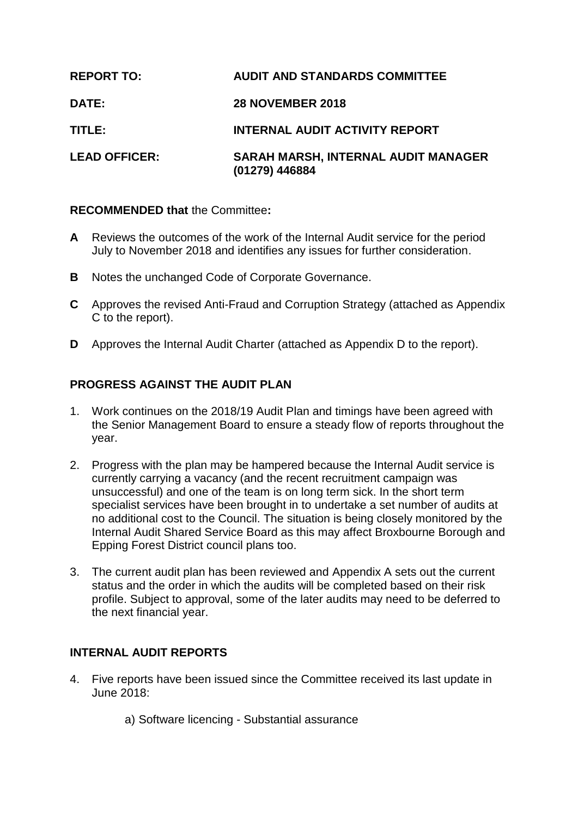| <b>REPORT TO:</b>    | <b>AUDIT AND STANDARDS COMMITTEE</b>                  |
|----------------------|-------------------------------------------------------|
| <b>DATE:</b>         | <b>28 NOVEMBER 2018</b>                               |
| TITLE:               | <b>INTERNAL AUDIT ACTIVITY REPORT</b>                 |
| <b>LEAD OFFICER:</b> | SARAH MARSH, INTERNAL AUDIT MANAGER<br>(01279) 446884 |

### **RECOMMENDED that** the Committee**:**

- **A** Reviews the outcomes of the work of the Internal Audit service for the period July to November 2018 and identifies any issues for further consideration.
- **B** Notes the unchanged Code of Corporate Governance.
- **C** Approves the revised Anti-Fraud and Corruption Strategy (attached as Appendix C to the report).
- **D** Approves the Internal Audit Charter (attached as Appendix D to the report).

# **PROGRESS AGAINST THE AUDIT PLAN**

- 1. Work continues on the 2018/19 Audit Plan and timings have been agreed with the Senior Management Board to ensure a steady flow of reports throughout the year.
- 2. Progress with the plan may be hampered because the Internal Audit service is currently carrying a vacancy (and the recent recruitment campaign was unsuccessful) and one of the team is on long term sick. In the short term specialist services have been brought in to undertake a set number of audits at no additional cost to the Council. The situation is being closely monitored by the Internal Audit Shared Service Board as this may affect Broxbourne Borough and Epping Forest District council plans too.
- 3. The current audit plan has been reviewed and Appendix A sets out the current status and the order in which the audits will be completed based on their risk profile. Subject to approval, some of the later audits may need to be deferred to the next financial year.

### **INTERNAL AUDIT REPORTS**

- 4. Five reports have been issued since the Committee received its last update in June 2018:
	- a) Software licencing Substantial assurance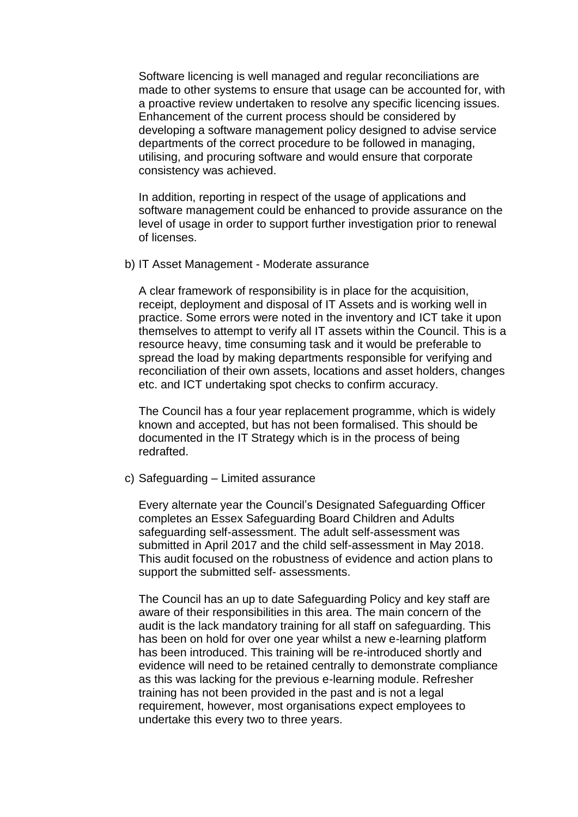Software licencing is well managed and regular reconciliations are made to other systems to ensure that usage can be accounted for, with a proactive review undertaken to resolve any specific licencing issues. Enhancement of the current process should be considered by developing a software management policy designed to advise service departments of the correct procedure to be followed in managing, utilising, and procuring software and would ensure that corporate consistency was achieved.

In addition, reporting in respect of the usage of applications and software management could be enhanced to provide assurance on the level of usage in order to support further investigation prior to renewal of licenses.

b) IT Asset Management - Moderate assurance

A clear framework of responsibility is in place for the acquisition, receipt, deployment and disposal of IT Assets and is working well in practice. Some errors were noted in the inventory and ICT take it upon themselves to attempt to verify all IT assets within the Council. This is a resource heavy, time consuming task and it would be preferable to spread the load by making departments responsible for verifying and reconciliation of their own assets, locations and asset holders, changes etc. and ICT undertaking spot checks to confirm accuracy.

The Council has a four year replacement programme, which is widely known and accepted, but has not been formalised. This should be documented in the IT Strategy which is in the process of being redrafted.

c) Safeguarding – Limited assurance

Every alternate year the Council's Designated Safeguarding Officer completes an Essex Safeguarding Board Children and Adults safeguarding self-assessment. The adult self-assessment was submitted in April 2017 and the child self-assessment in May 2018. This audit focused on the robustness of evidence and action plans to support the submitted self- assessments.

The Council has an up to date Safeguarding Policy and key staff are aware of their responsibilities in this area. The main concern of the audit is the lack mandatory training for all staff on safeguarding. This has been on hold for over one year whilst a new e-learning platform has been introduced. This training will be re-introduced shortly and evidence will need to be retained centrally to demonstrate compliance as this was lacking for the previous e-learning module. Refresher training has not been provided in the past and is not a legal requirement, however, most organisations expect employees to undertake this every two to three years.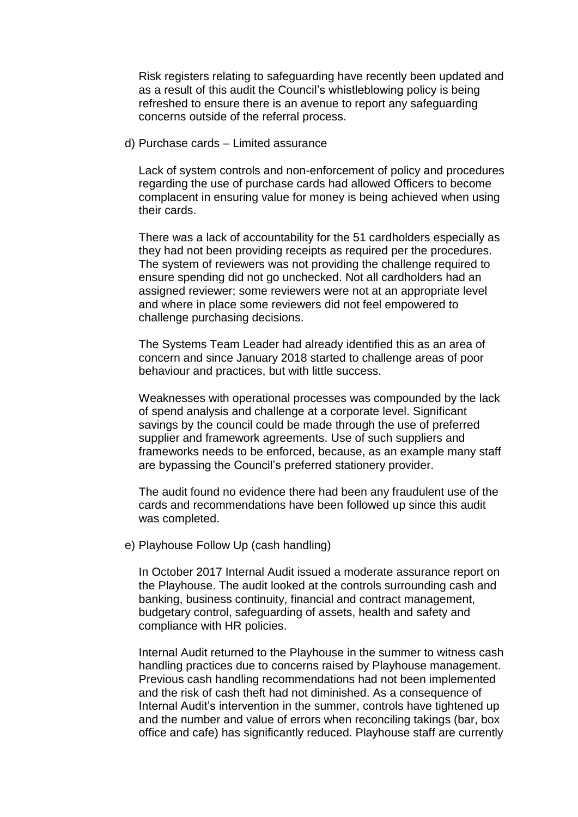Risk registers relating to safeguarding have recently been updated and as a result of this audit the Council's whistleblowing policy is being refreshed to ensure there is an avenue to report any safeguarding concerns outside of the referral process.

d) Purchase cards – Limited assurance

Lack of system controls and non-enforcement of policy and procedures regarding the use of purchase cards had allowed Officers to become complacent in ensuring value for money is being achieved when using their cards.

There was a lack of accountability for the 51 cardholders especially as they had not been providing receipts as required per the procedures. The system of reviewers was not providing the challenge required to ensure spending did not go unchecked. Not all cardholders had an assigned reviewer; some reviewers were not at an appropriate level and where in place some reviewers did not feel empowered to challenge purchasing decisions.

The Systems Team Leader had already identified this as an area of concern and since January 2018 started to challenge areas of poor behaviour and practices, but with little success.

Weaknesses with operational processes was compounded by the lack of spend analysis and challenge at a corporate level. Significant savings by the council could be made through the use of preferred supplier and framework agreements. Use of such suppliers and frameworks needs to be enforced, because, as an example many staff are bypassing the Council's preferred stationery provider.

The audit found no evidence there had been any fraudulent use of the cards and recommendations have been followed up since this audit was completed.

e) Playhouse Follow Up (cash handling)

In October 2017 Internal Audit issued a moderate assurance report on the Playhouse. The audit looked at the controls surrounding cash and banking, business continuity, financial and contract management, budgetary control, safeguarding of assets, health and safety and compliance with HR policies.

Internal Audit returned to the Playhouse in the summer to witness cash handling practices due to concerns raised by Playhouse management. Previous cash handling recommendations had not been implemented and the risk of cash theft had not diminished. As a consequence of Internal Audit's intervention in the summer, controls have tightened up and the number and value of errors when reconciling takings (bar, box office and cafe) has significantly reduced. Playhouse staff are currently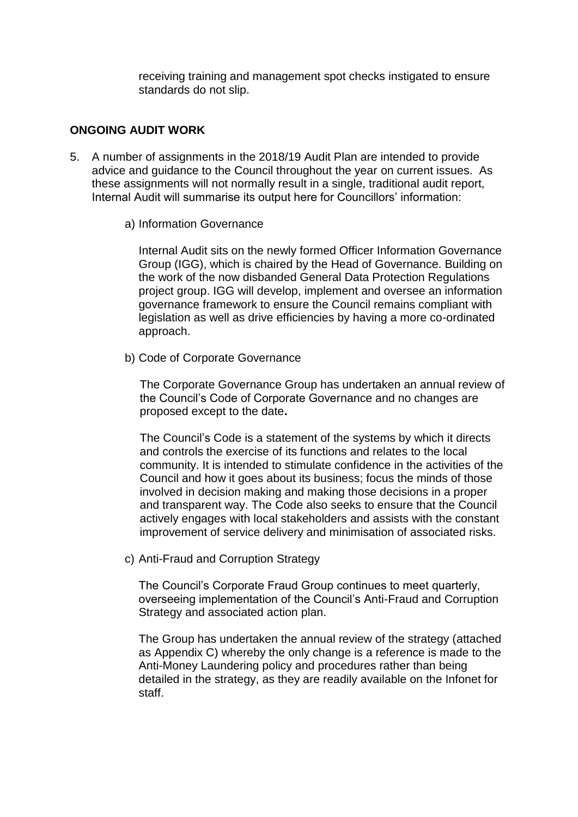receiving training and management spot checks instigated to ensure standards do not slip.

### **ONGOING AUDIT WORK**

- 5. A number of assignments in the 2018/19 Audit Plan are intended to provide advice and guidance to the Council throughout the year on current issues. As these assignments will not normally result in a single, traditional audit report, Internal Audit will summarise its output here for Councillors' information:
	- a) Information Governance

Internal Audit sits on the newly formed Officer Information Governance Group (IGG), which is chaired by the Head of Governance. Building on the work of the now disbanded General Data Protection Regulations project group. IGG will develop, implement and oversee an information governance framework to ensure the Council remains compliant with legislation as well as drive efficiencies by having a more co-ordinated approach.

b) Code of Corporate Governance

The Corporate Governance Group has undertaken an annual review of the Council's Code of Corporate Governance and no changes are proposed except to the date**.**

The Council's Code is a statement of the systems by which it directs and controls the exercise of its functions and relates to the local community. It is intended to stimulate confidence in the activities of the Council and how it goes about its business; focus the minds of those involved in decision making and making those decisions in a proper and transparent way. The Code also seeks to ensure that the Council actively engages with local stakeholders and assists with the constant improvement of service delivery and minimisation of associated risks.

c) Anti-Fraud and Corruption Strategy

The Council's Corporate Fraud Group continues to meet quarterly, overseeing implementation of the Council's Anti-Fraud and Corruption Strategy and associated action plan.

The Group has undertaken the annual review of the strategy (attached as Appendix C) whereby the only change is a reference is made to the Anti-Money Laundering policy and procedures rather than being detailed in the strategy, as they are readily available on the Infonet for staff.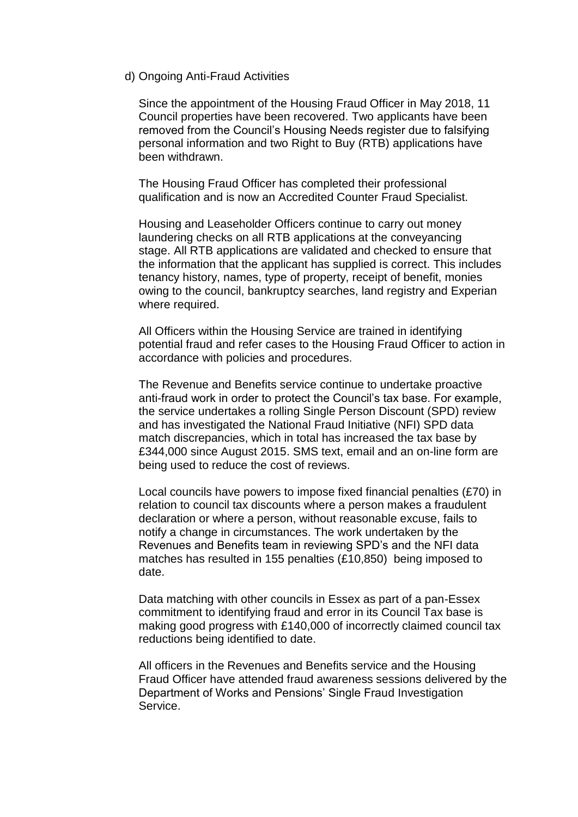#### d) Ongoing Anti-Fraud Activities

Since the appointment of the Housing Fraud Officer in May 2018, 11 Council properties have been recovered. Two applicants have been removed from the Council's Housing Needs register due to falsifying personal information and two Right to Buy (RTB) applications have been withdrawn.

The Housing Fraud Officer has completed their professional qualification and is now an Accredited Counter Fraud Specialist.

Housing and Leaseholder Officers continue to carry out money laundering checks on all RTB applications at the conveyancing stage. All RTB applications are validated and checked to ensure that the information that the applicant has supplied is correct. This includes tenancy history, names, type of property, receipt of benefit, monies owing to the council, bankruptcy searches, land registry and Experian where required.

All Officers within the Housing Service are trained in identifying potential fraud and refer cases to the Housing Fraud Officer to action in accordance with policies and procedures.

The Revenue and Benefits service continue to undertake proactive anti-fraud work in order to protect the Council's tax base. For example, the service undertakes a rolling Single Person Discount (SPD) review and has investigated the National Fraud Initiative (NFI) SPD data match discrepancies, which in total has increased the tax base by £344,000 since August 2015. SMS text, email and an on-line form are being used to reduce the cost of reviews.

Local councils have powers to impose fixed financial penalties (£70) in relation to council tax discounts where a person makes a fraudulent declaration or where a person, without reasonable excuse, fails to notify a change in circumstances. The work undertaken by the Revenues and Benefits team in reviewing SPD's and the NFI data matches has resulted in 155 penalties (£10,850) being imposed to date.

Data matching with other councils in Essex as part of a pan-Essex commitment to identifying fraud and error in its Council Tax base is making good progress with £140,000 of incorrectly claimed council tax reductions being identified to date.

All officers in the Revenues and Benefits service and the Housing Fraud Officer have attended fraud awareness sessions delivered by the Department of Works and Pensions' Single Fraud Investigation Service.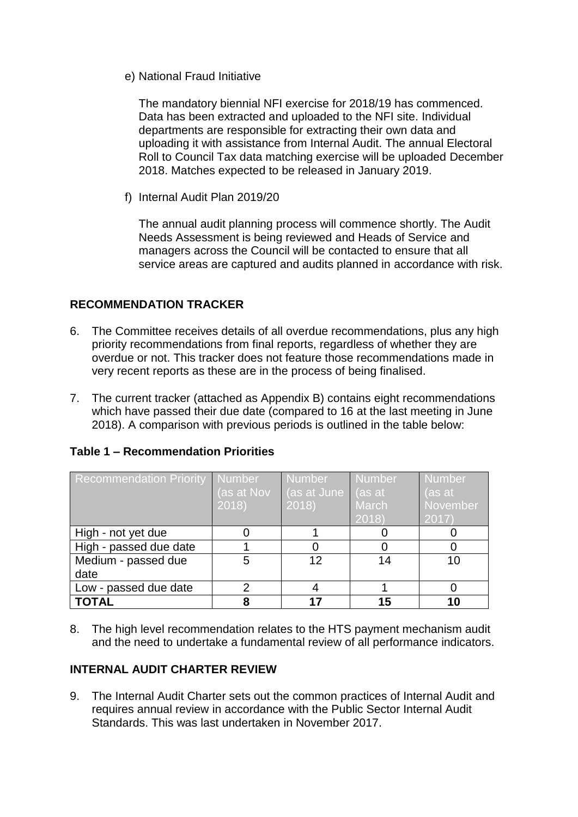e) National Fraud Initiative

The mandatory biennial NFI exercise for 2018/19 has commenced. Data has been extracted and uploaded to the NFI site. Individual departments are responsible for extracting their own data and uploading it with assistance from Internal Audit. The annual Electoral Roll to Council Tax data matching exercise will be uploaded December 2018. Matches expected to be released in January 2019.

f) Internal Audit Plan 2019/20

The annual audit planning process will commence shortly. The Audit Needs Assessment is being reviewed and Heads of Service and managers across the Council will be contacted to ensure that all service areas are captured and audits planned in accordance with risk.

### **RECOMMENDATION TRACKER**

- 6. The Committee receives details of all overdue recommendations, plus any high priority recommendations from final reports, regardless of whether they are overdue or not. This tracker does not feature those recommendations made in very recent reports as these are in the process of being finalised.
- 7. The current tracker (attached as Appendix B) contains eight recommendations which have passed their due date (compared to 16 at the last meeting in June 2018). A comparison with previous periods is outlined in the table below:

| <b>Recommendation Priority</b> | Number<br>(as at Nov<br>2018 | <b>Number</b><br>(as at June<br>2018) | <b>Number</b><br>as at<br><b>March</b><br>2018 | Number <sup>1</sup><br>(as at<br>November<br>2017 |
|--------------------------------|------------------------------|---------------------------------------|------------------------------------------------|---------------------------------------------------|
| High - not yet due             |                              |                                       |                                                |                                                   |
| High - passed due date         |                              |                                       |                                                |                                                   |
| Medium - passed due            | 5                            | 12                                    | 14                                             | 10                                                |
| date                           |                              |                                       |                                                |                                                   |
| Low - passed due date          | ⌒                            |                                       |                                                |                                                   |
| <b>TOTAL</b>                   |                              |                                       | 15                                             | 10                                                |

### **Table 1 – Recommendation Priorities**

8. The high level recommendation relates to the HTS payment mechanism audit and the need to undertake a fundamental review of all performance indicators.

### **INTERNAL AUDIT CHARTER REVIEW**

9. The Internal Audit Charter sets out the common practices of Internal Audit and requires annual review in accordance with the Public Sector Internal Audit Standards. This was last undertaken in November 2017.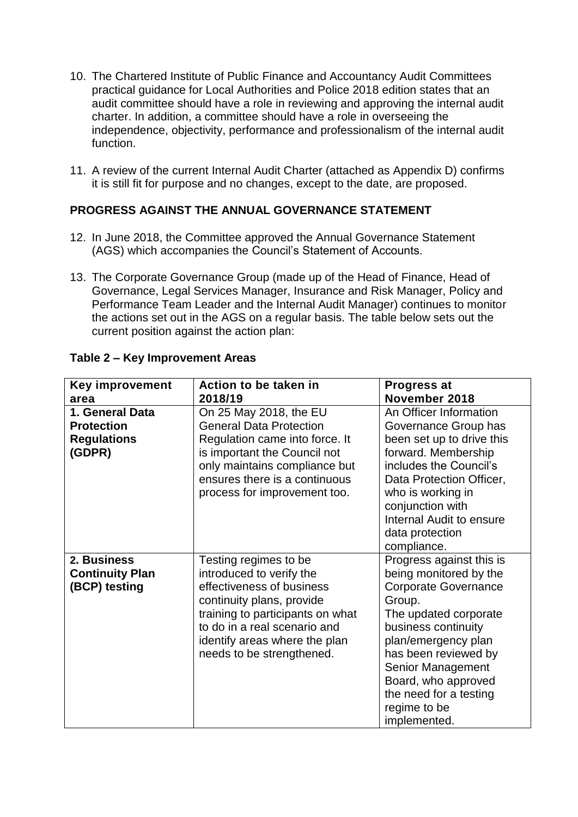- 10. The Chartered Institute of Public Finance and Accountancy Audit Committees practical guidance for Local Authorities and Police 2018 edition states that an audit committee should have a role in reviewing and approving the internal audit charter. In addition, a committee should have a role in overseeing the independence, objectivity, performance and professionalism of the internal audit function.
- 11. A review of the current Internal Audit Charter (attached as Appendix D) confirms it is still fit for purpose and no changes, except to the date, are proposed.

# **PROGRESS AGAINST THE ANNUAL GOVERNANCE STATEMENT**

- 12. In June 2018, the Committee approved the Annual Governance Statement (AGS) which accompanies the Council's Statement of Accounts.
- 13. The Corporate Governance Group (made up of the Head of Finance, Head of Governance, Legal Services Manager, Insurance and Risk Manager, Policy and Performance Team Leader and the Internal Audit Manager) continues to monitor the actions set out in the AGS on a regular basis. The table below sets out the current position against the action plan:

| <b>Key improvement</b> | Action to be taken in            | <b>Progress at</b>          |
|------------------------|----------------------------------|-----------------------------|
| area                   | 2018/19                          | November 2018               |
| 1. General Data        | On 25 May 2018, the EU           | An Officer Information      |
| <b>Protection</b>      | <b>General Data Protection</b>   | Governance Group has        |
| <b>Regulations</b>     | Regulation came into force. It   | been set up to drive this   |
| (GDPR)                 | is important the Council not     | forward. Membership         |
|                        | only maintains compliance but    | includes the Council's      |
|                        | ensures there is a continuous    | Data Protection Officer,    |
|                        | process for improvement too.     | who is working in           |
|                        |                                  | conjunction with            |
|                        |                                  | Internal Audit to ensure    |
|                        |                                  | data protection             |
|                        |                                  | compliance.                 |
| 2. Business            | Testing regimes to be            | Progress against this is    |
| <b>Continuity Plan</b> | introduced to verify the         | being monitored by the      |
| (BCP) testing          | effectiveness of business        | <b>Corporate Governance</b> |
|                        | continuity plans, provide        | Group.                      |
|                        | training to participants on what | The updated corporate       |
|                        | to do in a real scenario and     | business continuity         |
|                        | identify areas where the plan    | plan/emergency plan         |
|                        | needs to be strengthened.        | has been reviewed by        |
|                        |                                  | Senior Management           |
|                        |                                  | Board, who approved         |
|                        |                                  | the need for a testing      |
|                        |                                  | regime to be                |
|                        |                                  | implemented.                |

# **Table 2 – Key Improvement Areas**